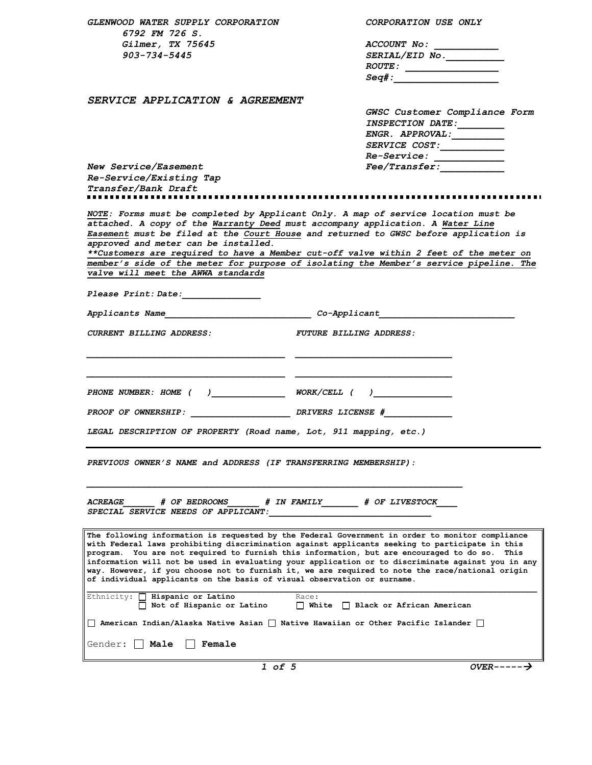| <i>GLENWOOD WATER SUPPLY CORPORATION</i><br>6792 FM 726 S.                                                                                                                                                                                                                                                                                                                                                                                                                                                                                                                              | CORPORATION USE ONLY                                                                        |
|-----------------------------------------------------------------------------------------------------------------------------------------------------------------------------------------------------------------------------------------------------------------------------------------------------------------------------------------------------------------------------------------------------------------------------------------------------------------------------------------------------------------------------------------------------------------------------------------|---------------------------------------------------------------------------------------------|
| Gilmer, TX 75645                                                                                                                                                                                                                                                                                                                                                                                                                                                                                                                                                                        |                                                                                             |
| 903-734-5445                                                                                                                                                                                                                                                                                                                                                                                                                                                                                                                                                                            | $\texttt{SERIAL/ELD}$ No.                                                                   |
|                                                                                                                                                                                                                                                                                                                                                                                                                                                                                                                                                                                         | ROUTE:                                                                                      |
|                                                                                                                                                                                                                                                                                                                                                                                                                                                                                                                                                                                         |                                                                                             |
|                                                                                                                                                                                                                                                                                                                                                                                                                                                                                                                                                                                         |                                                                                             |
| SERVICE APPLICATION & AGREEMENT                                                                                                                                                                                                                                                                                                                                                                                                                                                                                                                                                         |                                                                                             |
|                                                                                                                                                                                                                                                                                                                                                                                                                                                                                                                                                                                         | GWSC Customer Compliance Form<br>INSPECTION DATE:                                           |
|                                                                                                                                                                                                                                                                                                                                                                                                                                                                                                                                                                                         |                                                                                             |
|                                                                                                                                                                                                                                                                                                                                                                                                                                                                                                                                                                                         | SERVICE COST:                                                                               |
|                                                                                                                                                                                                                                                                                                                                                                                                                                                                                                                                                                                         | Re-Service: ____________                                                                    |
| <b>New Service/Easement</b>                                                                                                                                                                                                                                                                                                                                                                                                                                                                                                                                                             | $\textit{Fee}/\textit{Transfer}$ . The set of $\overline{\textit{Fee}/\textit{Transfer}}$ . |
| Re-Service/Existing Tap                                                                                                                                                                                                                                                                                                                                                                                                                                                                                                                                                                 |                                                                                             |
| Transfer/Bank Draft                                                                                                                                                                                                                                                                                                                                                                                                                                                                                                                                                                     |                                                                                             |
|                                                                                                                                                                                                                                                                                                                                                                                                                                                                                                                                                                                         |                                                                                             |
| NOTE: Forms must be completed by Applicant Only. A map of service location must be<br>attached. A copy of the Warranty Deed must accompany application. A Water Line<br>Easement must be filed at the Court House and returned to GWSC before application is<br>approved and meter can be installed.<br>**Customers are required to have a Member cut-off valve within 2 feet of the meter on<br>member's side of the meter for purpose of isolating the Member's service pipeline. The<br>valve will meet the AWWA standards                                                           |                                                                                             |
| <i>Please Print: Date:</i>                                                                                                                                                                                                                                                                                                                                                                                                                                                                                                                                                              |                                                                                             |
| Applicants Name                                                                                                                                                                                                                                                                                                                                                                                                                                                                                                                                                                         | $Co-Applicant$                                                                              |
| CURRENT BILLING ADDRESS:                                                                                                                                                                                                                                                                                                                                                                                                                                                                                                                                                                | <b>FUTURE BILLING ADDRESS:</b>                                                              |
| PHONE NUMBER: HOME ( ) WORK/CELL ( )                                                                                                                                                                                                                                                                                                                                                                                                                                                                                                                                                    |                                                                                             |
|                                                                                                                                                                                                                                                                                                                                                                                                                                                                                                                                                                                         |                                                                                             |
| PROOF OF OWNERSHIP:                                                                                                                                                                                                                                                                                                                                                                                                                                                                                                                                                                     | DRIVERS LICENSE #                                                                           |
| LEGAL DESCRIPTION OF PROPERTY (Road name, Lot, 911 mapping, etc.)                                                                                                                                                                                                                                                                                                                                                                                                                                                                                                                       |                                                                                             |
| PREVIOUS OWNER'S NAME and ADDRESS (IF TRANSFERRING MEMBERSHIP):                                                                                                                                                                                                                                                                                                                                                                                                                                                                                                                         |                                                                                             |
| # OF BEDROOMS # IN FAMILY # OF LIVESTOCK<br><i><b>ACREAGE</b></i><br>SPECIAL SERVICE NEEDS OF APPLICANT:                                                                                                                                                                                                                                                                                                                                                                                                                                                                                |                                                                                             |
| The following information is requested by the Federal Government in order to monitor compliance<br>with Federal laws prohibiting discrimination against applicants seeking to participate in this<br>program. You are not required to furnish this information, but are encouraged to do so.<br>This<br>information will not be used in evaluating your application or to discriminate against you in any<br>way. However, if you choose not to furnish it, we are required to note the race/national origin<br>of individual applicants on the basis of visual observation or surname. |                                                                                             |
| Ethnicity:   Hispanic or Latino<br>Race:<br>  Not of Hispanic or Latino<br>   White    Black or African American                                                                                                                                                                                                                                                                                                                                                                                                                                                                        |                                                                                             |
| $\Box$ American Indian/Alaska Native Asian $\Box$ Native Hawaiian or Other Pacific Islander $\Box$                                                                                                                                                                                                                                                                                                                                                                                                                                                                                      |                                                                                             |
| Gender: I   <b>Male</b><br>l Female                                                                                                                                                                                                                                                                                                                                                                                                                                                                                                                                                     |                                                                                             |

*1 of 5 OVER-----*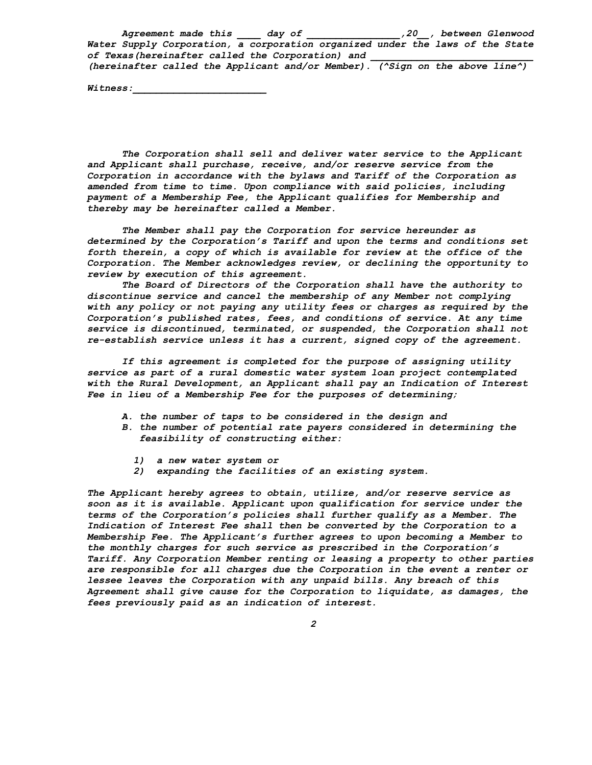*Agreement made this \_\_\_\_ day of \_\_\_\_\_\_\_\_\_\_\_\_\_\_\_\_,20\_\_, between Glenwood Water Supply Corporation, a corporation organized under the laws of the State of Texas(hereinafter called the Corporation) and \_\_\_\_\_\_\_\_\_\_\_\_\_\_\_\_\_\_\_\_\_\_\_\_\_\_\_\_ (hereinafter called the Applicant and/or Member). (^Sign on the above line^)*

*Witness:\_\_\_\_\_\_\_\_\_\_\_\_\_\_\_\_\_\_\_\_\_\_\_*

*The Corporation shall sell and deliver water service to the Applicant and Applicant shall purchase, receive, and/or reserve service from the Corporation in accordance with the bylaws and Tariff of the Corporation as amended from time to time. Upon compliance with said policies, including payment of a Membership Fee, the Applicant qualifies for Membership and thereby may be hereinafter called a Member.*

*The Member shall pay the Corporation for service hereunder as determined by the Corporation's Tariff and upon the terms and conditions set forth therein, a copy of which is available for review at the office of the Corporation. The Member acknowledges review, or declining the opportunity to review by execution of this agreement.*

*The Board of Directors of the Corporation shall have the authority to discontinue service and cancel the membership of any Member not complying with any policy or not paying any utility fees or charges as required by the Corporation's published rates, fees, and conditions of service. At any time service is discontinued, terminated, or suspended, the Corporation shall not re-establish service unless it has a current, signed copy of the agreement.*

*If this agreement is completed for the purpose of assigning utility service as part of a rural domestic water system loan project contemplated with the Rural Development, an Applicant shall pay an Indication of Interest Fee in lieu of a Membership Fee for the purposes of determining;*

- *A. the number of taps to be considered in the design and*
- *B. the number of potential rate payers considered in determining the feasibility of constructing either:*
	- *1) a new water system or*
	- *2) expanding the facilities of an existing system.*

*The Applicant hereby agrees to obtain, utilize, and/or reserve service as soon as it is available. Applicant upon qualification for service under the terms of the Corporation's policies shall further qualify as a Member. The Indication of Interest Fee shall then be converted by the Corporation to a Membership Fee. The Applicant's further agrees to upon becoming a Member to the monthly charges for such service as prescribed in the Corporation's Tariff. Any Corporation Member renting or leasing a property to other parties are responsible for all charges due the Corporation in the event a renter or lessee leaves the Corporation with any unpaid bills. Any breach of this Agreement shall give cause for the Corporation to liquidate, as damages, the fees previously paid as an indication of interest.*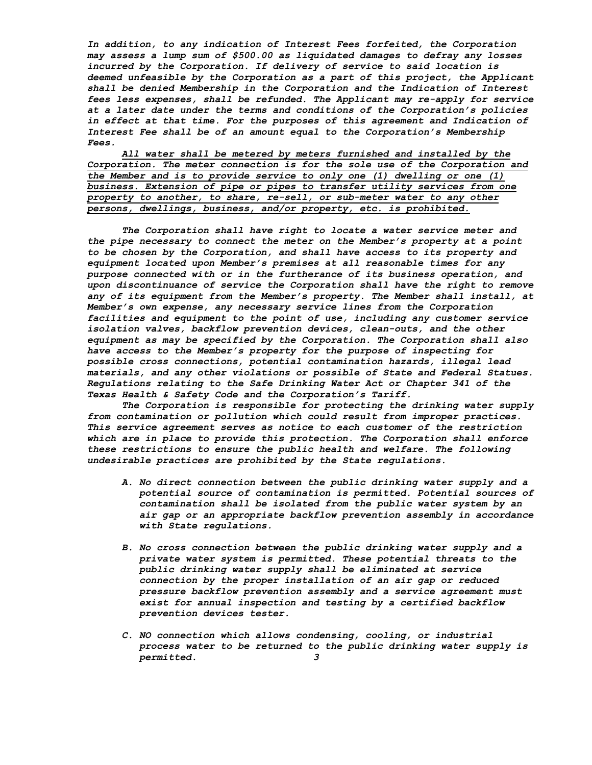*In addition, to any indication of Interest Fees forfeited, the Corporation may assess a lump sum of \$500.00 as liquidated damages to defray any losses incurred by the Corporation. If delivery of service to said location is deemed unfeasible by the Corporation as a part of this project, the Applicant shall be denied Membership in the Corporation and the Indication of Interest fees less expenses, shall be refunded. The Applicant may re-apply for service at a later date under the terms and conditions of the Corporation's policies in effect at that time. For the purposes of this agreement and Indication of Interest Fee shall be of an amount equal to the Corporation's Membership Fees.*

*All water shall be metered by meters furnished and installed by the Corporation. The meter connection is for the sole use of the Corporation and the Member and is to provide service to only one (1) dwelling or one (1) business. Extension of pipe or pipes to transfer utility services from one property to another, to share, re-sell, or sub-meter water to any other persons, dwellings, business, and/or property, etc. is prohibited.*

*The Corporation shall have right to locate a water service meter and the pipe necessary to connect the meter on the Member's property at a point to be chosen by the Corporation, and shall have access to its property and equipment located upon Member's premises at all reasonable times for any purpose connected with or in the furtherance of its business operation, and*  upon discontinuance of service the Corporation shall have the right to remove *any of its equipment from the Member's property. The Member shall install, at Member's own expense, any necessary service lines from the Corporation facilities and equipment to the point of use, including any customer service isolation valves, backflow prevention devices, clean-outs, and the other equipment as may be specified by the Corporation. The Corporation shall also have access to the Member's property for the purpose of inspecting for possible cross connections, potential contamination hazards, illegal lead materials, and any other violations or possible of State and Federal Statues. Regulations relating to the Safe Drinking Water Act or Chapter 341 of the Texas Health & Safety Code and the Corporation's Tariff.*

*The Corporation is responsible for protecting the drinking water supply from contamination or pollution which could result from improper practices. This service agreement serves as notice to each customer of the restriction which are in place to provide this protection. The Corporation shall enforce these restrictions to ensure the public health and welfare. The following undesirable practices are prohibited by the State regulations.*

- *A. No direct connection between the public drinking water supply and a potential source of contamination is permitted. Potential sources of contamination shall be isolated from the public water system by an air gap or an appropriate backflow prevention assembly in accordance with State regulations.*
- *B. No cross connection between the public drinking water supply and a private water system is permitted. These potential threats to the public drinking water supply shall be eliminated at service connection by the proper installation of an air gap or reduced pressure backflow prevention assembly and a service agreement must exist for annual inspection and testing by a certified backflow prevention devices tester.*
- *C. NO connection which allows condensing, cooling, or industrial process water to be returned to the public drinking water supply is permitted. 3*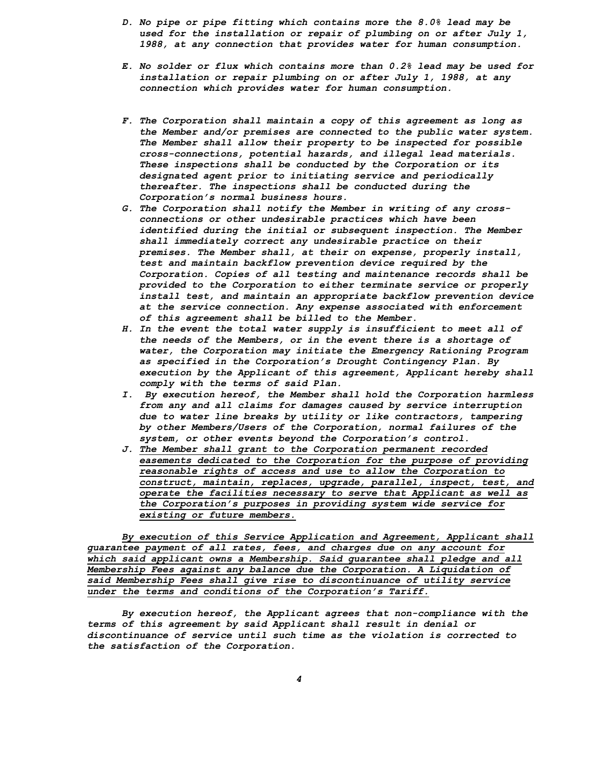- *D. No pipe or pipe fitting which contains more the 8.0% lead may be used for the installation or repair of plumbing on or after July 1, 1988, at any connection that provides water for human consumption.*
- *E. No solder or flux which contains more than 0.2% lead may be used for installation or repair plumbing on or after July 1, 1988, at any connection which provides water for human consumption.*
- *F. The Corporation shall maintain a copy of this agreement as long as the Member and/or premises are connected to the public water system. The Member shall allow their property to be inspected for possible cross-connections, potential hazards, and illegal lead materials. These inspections shall be conducted by the Corporation or its designated agent prior to initiating service and periodically thereafter. The inspections shall be conducted during the Corporation's normal business hours.*
- *G. The Corporation shall notify the Member in writing of any crossconnections or other undesirable practices which have been identified during the initial or subsequent inspection. The Member shall immediately correct any undesirable practice on their premises. The Member shall, at their on expense, properly install, test and maintain backflow prevention device required by the Corporation. Copies of all testing and maintenance records shall be provided to the Corporation to either terminate service or properly install test, and maintain an appropriate backflow prevention device at the service connection. Any expense associated with enforcement of this agreement shall be billed to the Member.*
- *H. In the event the total water supply is insufficient to meet all of the needs of the Members, or in the event there is a shortage of water, the Corporation may initiate the Emergency Rationing Program as specified in the Corporation's Drought Contingency Plan. By execution by the Applicant of this agreement, Applicant hereby shall comply with the terms of said Plan.*
- *I. By execution hereof, the Member shall hold the Corporation harmless from any and all claims for damages caused by service interruption due to water line breaks by utility or like contractors, tampering by other Members/Users of the Corporation, normal failures of the system, or other events beyond the Corporation's control.*
- *J. The Member shall grant to the Corporation permanent recorded easements dedicated to the Corporation for the purpose of providing reasonable rights of access and use to allow the Corporation to construct, maintain, replaces, upgrade, parallel, inspect, test, and operate the facilities necessary to serve that Applicant as well as the Corporation's purposes in providing system wide service for existing or future members.*

*By execution of this Service Application and Agreement, Applicant shall guarantee payment of all rates, fees, and charges due on any account for which said applicant owns a Membership. Said guarantee shall pledge and all Membership Fees against any balance due the Corporation. A Liquidation of said Membership Fees shall give rise to discontinuance of utility service under the terms and conditions of the Corporation's Tariff.*

*By execution hereof, the Applicant agrees that non-compliance with the terms of this agreement by said Applicant shall result in denial or discontinuance of service until such time as the violation is corrected to the satisfaction of the Corporation.*